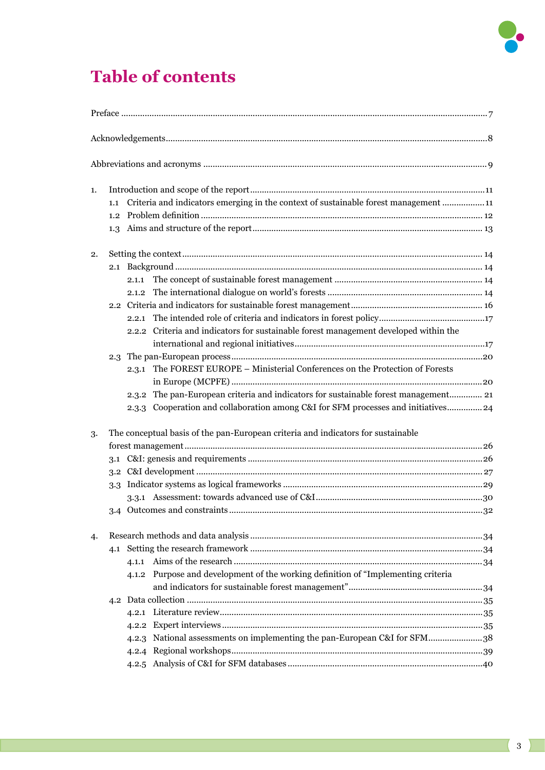

## **Table of contents**

| 1. |     |       |                                                                                      |  |  |  |  |  |
|----|-----|-------|--------------------------------------------------------------------------------------|--|--|--|--|--|
|    | 1.1 |       | Criteria and indicators emerging in the context of sustainable forest management  11 |  |  |  |  |  |
|    |     |       |                                                                                      |  |  |  |  |  |
|    |     |       |                                                                                      |  |  |  |  |  |
| 2. |     |       |                                                                                      |  |  |  |  |  |
|    |     |       |                                                                                      |  |  |  |  |  |
|    |     | 2.1.1 |                                                                                      |  |  |  |  |  |
|    |     |       |                                                                                      |  |  |  |  |  |
|    |     |       |                                                                                      |  |  |  |  |  |
|    |     |       |                                                                                      |  |  |  |  |  |
|    |     |       | 2.2.2 Criteria and indicators for sustainable forest management developed within the |  |  |  |  |  |
|    |     |       |                                                                                      |  |  |  |  |  |
|    |     |       |                                                                                      |  |  |  |  |  |
|    |     |       | 2.3.1 The FOREST EUROPE - Ministerial Conferences on the Protection of Forests       |  |  |  |  |  |
|    |     |       | 2.3.2 The pan-European criteria and indicators for sustainable forest management 21  |  |  |  |  |  |
|    |     |       | 2.3.3 Cooperation and collaboration among C&I for SFM processes and initiatives24    |  |  |  |  |  |
| 3. |     |       | The conceptual basis of the pan-European criteria and indicators for sustainable     |  |  |  |  |  |
|    |     |       |                                                                                      |  |  |  |  |  |
|    |     |       |                                                                                      |  |  |  |  |  |
|    |     |       |                                                                                      |  |  |  |  |  |
|    |     |       |                                                                                      |  |  |  |  |  |
|    |     |       |                                                                                      |  |  |  |  |  |
|    |     |       |                                                                                      |  |  |  |  |  |
| 4. |     |       |                                                                                      |  |  |  |  |  |
|    | 4.1 |       |                                                                                      |  |  |  |  |  |
|    |     |       |                                                                                      |  |  |  |  |  |
|    |     |       | 4.1.2 Purpose and development of the working definition of "Implementing criteria    |  |  |  |  |  |
|    |     |       |                                                                                      |  |  |  |  |  |
|    |     |       |                                                                                      |  |  |  |  |  |
|    |     |       |                                                                                      |  |  |  |  |  |
|    |     |       |                                                                                      |  |  |  |  |  |
|    |     |       | 4.2.3 National assessments on implementing the pan-European C&I for SFM38            |  |  |  |  |  |
|    |     |       |                                                                                      |  |  |  |  |  |
|    |     |       |                                                                                      |  |  |  |  |  |
|    |     |       |                                                                                      |  |  |  |  |  |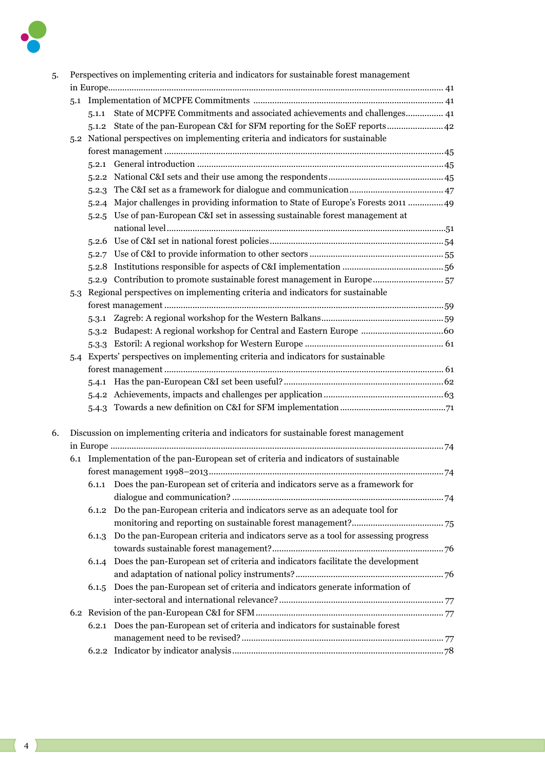

| 5. | Perspectives on implementing criteria and indicators for sustainable forest management |                                                                                      |                                                                                          |  |  |  |  |
|----|----------------------------------------------------------------------------------------|--------------------------------------------------------------------------------------|------------------------------------------------------------------------------------------|--|--|--|--|
|    |                                                                                        |                                                                                      |                                                                                          |  |  |  |  |
|    |                                                                                        |                                                                                      |                                                                                          |  |  |  |  |
|    |                                                                                        | 5.1.1                                                                                | State of MCPFE Commitments and associated achievements and challenges 41                 |  |  |  |  |
|    |                                                                                        |                                                                                      | 5.1.2 State of the pan-European C&I for SFM reporting for the SoEF reports 42            |  |  |  |  |
|    |                                                                                        | 5.2 National perspectives on implementing criteria and indicators for sustainable    |                                                                                          |  |  |  |  |
|    |                                                                                        |                                                                                      |                                                                                          |  |  |  |  |
|    |                                                                                        |                                                                                      |                                                                                          |  |  |  |  |
|    |                                                                                        |                                                                                      |                                                                                          |  |  |  |  |
|    |                                                                                        |                                                                                      |                                                                                          |  |  |  |  |
|    |                                                                                        |                                                                                      | 5.2.4 Major challenges in providing information to State of Europe's Forests 2011  49    |  |  |  |  |
|    |                                                                                        |                                                                                      | 5.2.5 Use of pan-European C&I set in assessing sustainable forest management at          |  |  |  |  |
|    |                                                                                        |                                                                                      |                                                                                          |  |  |  |  |
|    |                                                                                        |                                                                                      |                                                                                          |  |  |  |  |
|    |                                                                                        |                                                                                      |                                                                                          |  |  |  |  |
|    |                                                                                        |                                                                                      |                                                                                          |  |  |  |  |
|    |                                                                                        |                                                                                      | 52.9 Contribution to promote sustainable forest management in Europe 57                  |  |  |  |  |
|    |                                                                                        |                                                                                      | 5.3 Regional perspectives on implementing criteria and indicators for sustainable        |  |  |  |  |
|    |                                                                                        |                                                                                      |                                                                                          |  |  |  |  |
|    |                                                                                        |                                                                                      |                                                                                          |  |  |  |  |
|    |                                                                                        |                                                                                      |                                                                                          |  |  |  |  |
|    |                                                                                        |                                                                                      |                                                                                          |  |  |  |  |
|    |                                                                                        |                                                                                      | 5.4 Experts' perspectives on implementing criteria and indicators for sustainable        |  |  |  |  |
|    |                                                                                        |                                                                                      |                                                                                          |  |  |  |  |
|    |                                                                                        |                                                                                      |                                                                                          |  |  |  |  |
|    |                                                                                        |                                                                                      |                                                                                          |  |  |  |  |
|    |                                                                                        |                                                                                      |                                                                                          |  |  |  |  |
|    |                                                                                        |                                                                                      |                                                                                          |  |  |  |  |
| 6. |                                                                                        | Discussion on implementing criteria and indicators for sustainable forest management |                                                                                          |  |  |  |  |
|    |                                                                                        |                                                                                      |                                                                                          |  |  |  |  |
|    |                                                                                        |                                                                                      | 6.1 Implementation of the pan-European set of criteria and indicators of sustainable     |  |  |  |  |
|    |                                                                                        |                                                                                      |                                                                                          |  |  |  |  |
|    |                                                                                        | 6.1.1                                                                                | Does the pan-European set of criteria and indicators serve as a framework for            |  |  |  |  |
|    |                                                                                        |                                                                                      |                                                                                          |  |  |  |  |
|    |                                                                                        | 6.1.2                                                                                | Do the pan-European criteria and indicators serve as an adequate tool for                |  |  |  |  |
|    |                                                                                        |                                                                                      |                                                                                          |  |  |  |  |
|    |                                                                                        |                                                                                      | 6.1.3 Do the pan-European criteria and indicators serve as a tool for assessing progress |  |  |  |  |
|    |                                                                                        |                                                                                      |                                                                                          |  |  |  |  |
|    |                                                                                        | 6.1.4                                                                                | Does the pan-European set of criteria and indicators facilitate the development          |  |  |  |  |
|    |                                                                                        |                                                                                      |                                                                                          |  |  |  |  |
|    |                                                                                        | 6.1.5                                                                                | Does the pan-European set of criteria and indicators generate information of             |  |  |  |  |
|    |                                                                                        |                                                                                      |                                                                                          |  |  |  |  |
|    |                                                                                        |                                                                                      |                                                                                          |  |  |  |  |
|    |                                                                                        |                                                                                      | 6.2.1 Does the pan-European set of criteria and indicators for sustainable forest        |  |  |  |  |
|    |                                                                                        |                                                                                      |                                                                                          |  |  |  |  |
|    |                                                                                        |                                                                                      |                                                                                          |  |  |  |  |
|    |                                                                                        |                                                                                      |                                                                                          |  |  |  |  |